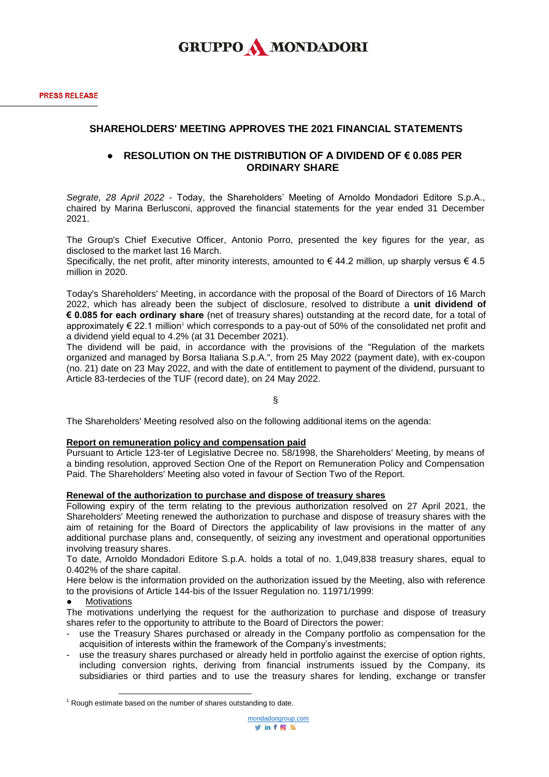## **SHAREHOLDERS' MEETING APPROVES THE 2021 FINANCIAL STATEMENTS**

## ● **RESOLUTION ON THE DISTRIBUTION OF A DIVIDEND OF € 0.085 PER ORDINARY SHARE**

*Segrate, 28 April 2022* - Today, the Shareholders' Meeting of Arnoldo Mondadori Editore S.p.A., chaired by Marina Berlusconi, approved the financial statements for the year ended 31 December 2021.

The Group's Chief Executive Officer, Antonio Porro, presented the key figures for the year, as disclosed to the market last 16 March.

Specifically, the net profit, after minority interests, amounted to  $\epsilon$  44.2 million, up sharply versus  $\epsilon$  4.5 million in 2020.

Today's Shareholders' Meeting, in accordance with the proposal of the Board of Directors of 16 March 2022, which has already been the subject of disclosure, resolved to distribute a **unit dividend of € 0.085 for each ordinary share** (net of treasury shares) outstanding at the record date, for a total of approximately  $\epsilon$  22.1 million<sup>1</sup> which corresponds to a pay-out of 50% of the consolidated net profit and a dividend yield equal to 4.2% (at 31 December 2021).

The dividend will be paid, in accordance with the provisions of the "Regulation of the markets organized and managed by Borsa Italiana S.p.A.", from 25 May 2022 (payment date), with ex-coupon (no. 21) date on 23 May 2022, and with the date of entitlement to payment of the dividend, pursuant to Article 83-terdecies of the TUF (record date), on 24 May 2022.

§

The Shareholders' Meeting resolved also on the following additional items on the agenda:

#### **Report on remuneration policy and compensation paid**

Pursuant to Article 123-ter of Legislative Decree no. 58/1998, the Shareholders' Meeting, by means of a binding resolution, approved Section One of the Report on Remuneration Policy and Compensation Paid. The Shareholders' Meeting also voted in favour of Section Two of the Report.

#### **Renewal of the authorization to purchase and dispose of treasury shares**

Following expiry of the term relating to the previous authorization resolved on 27 April 2021, the Shareholders' Meeting renewed the authorization to purchase and dispose of treasury shares with the aim of retaining for the Board of Directors the applicability of law provisions in the matter of any additional purchase plans and, consequently, of seizing any investment and operational opportunities involving treasury shares.

To date, Arnoldo Mondadori Editore S.p.A. holds a total of no. 1,049,838 treasury shares, equal to 0.402% of the share capital.

Here below is the information provided on the authorization issued by the Meeting, also with reference to the provisions of Article 144-bis of the Issuer Regulation no. 11971/1999:

#### **Motivations**

The motivations underlying the request for the authorization to purchase and dispose of treasury shares refer to the opportunity to attribute to the Board of Directors the power:

- use the Treasury Shares purchased or already in the Company portfolio as compensation for the acquisition of interests within the framework of the Company's investments;
- use the treasury shares purchased or already held in portfolio against the exercise of option rights, including conversion rights, deriving from financial instruments issued by the Company, its subsidiaries or third parties and to use the treasury shares for lending, exchange or transfer

 $\overline{a}$  $1$  Rough estimate based on the number of shares outstanding to date.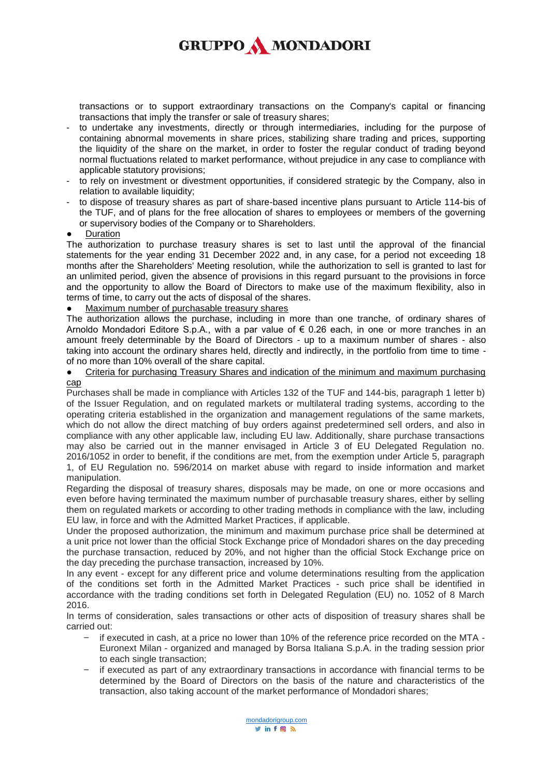# **GRUPPO A MONDADORI**

transactions or to support extraordinary transactions on the Company's capital or financing transactions that imply the transfer or sale of treasury shares;

- to undertake any investments, directly or through intermediaries, including for the purpose of containing abnormal movements in share prices, stabilizing share trading and prices, supporting the liquidity of the share on the market, in order to foster the regular conduct of trading beyond normal fluctuations related to market performance, without prejudice in any case to compliance with applicable statutory provisions;
- to rely on investment or divestment opportunities, if considered strategic by the Company, also in relation to available liquidity;
- to dispose of treasury shares as part of share-based incentive plans pursuant to Article 114-bis of the TUF, and of plans for the free allocation of shares to employees or members of the governing or supervisory bodies of the Company or to Shareholders.
- **Duration**

The authorization to purchase treasury shares is set to last until the approval of the financial statements for the year ending 31 December 2022 and, in any case, for a period not exceeding 18 months after the Shareholders' Meeting resolution, while the authorization to sell is granted to last for an unlimited period, given the absence of provisions in this regard pursuant to the provisions in force and the opportunity to allow the Board of Directors to make use of the maximum flexibility, also in terms of time, to carry out the acts of disposal of the shares.

### Maximum number of purchasable treasury shares

The authorization allows the purchase, including in more than one tranche, of ordinary shares of Arnoldo Mondadori Editore S.p.A., with a par value of € 0.26 each, in one or more tranches in an amount freely determinable by the Board of Directors - up to a maximum number of shares - also taking into account the ordinary shares held, directly and indirectly, in the portfolio from time to time of no more than 10% overall of the share capital.

#### • Criteria for purchasing Treasury Shares and indication of the minimum and maximum purchasing cap

Purchases shall be made in compliance with Articles 132 of the TUF and 144-bis, paragraph 1 letter b) of the Issuer Regulation, and on regulated markets or multilateral trading systems, according to the operating criteria established in the organization and management regulations of the same markets, which do not allow the direct matching of buy orders against predetermined sell orders, and also in compliance with any other applicable law, including EU law. Additionally, share purchase transactions may also be carried out in the manner envisaged in Article 3 of EU Delegated Regulation no. 2016/1052 in order to benefit, if the conditions are met, from the exemption under Article 5, paragraph 1, of EU Regulation no. 596/2014 on market abuse with regard to inside information and market manipulation.

Regarding the disposal of treasury shares, disposals may be made, on one or more occasions and even before having terminated the maximum number of purchasable treasury shares, either by selling them on regulated markets or according to other trading methods in compliance with the law, including EU law, in force and with the Admitted Market Practices, if applicable.

Under the proposed authorization, the minimum and maximum purchase price shall be determined at a unit price not lower than the official Stock Exchange price of Mondadori shares on the day preceding the purchase transaction, reduced by 20%, and not higher than the official Stock Exchange price on the day preceding the purchase transaction, increased by 10%.

In any event - except for any different price and volume determinations resulting from the application of the conditions set forth in the Admitted Market Practices - such price shall be identified in accordance with the trading conditions set forth in Delegated Regulation (EU) no. 1052 of 8 March 2016.

In terms of consideration, sales transactions or other acts of disposition of treasury shares shall be carried out:

- if executed in cash, at a price no lower than 10% of the reference price recorded on the MTA Euronext Milan - organized and managed by Borsa Italiana S.p.A. in the trading session prior to each single transaction;
- if executed as part of any extraordinary transactions in accordance with financial terms to be determined by the Board of Directors on the basis of the nature and characteristics of the transaction, also taking account of the market performance of Mondadori shares;